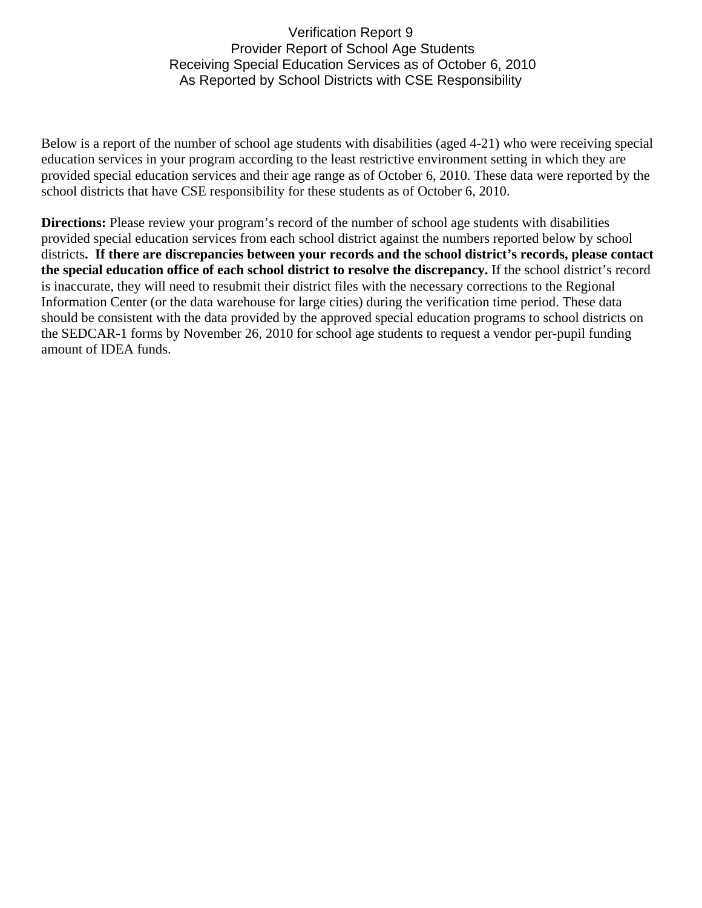## Verification Report 9 Provider Report of School Age Students Receiving Special Education Services as of October 6, 2010 As Reported by School Districts with CSE Responsibility

Below is a report of the number of school age students with disabilities (aged 4-21) who were receiving special education services in your program according to the least restrictive environment setting in which they are provided special education services and their age range as of October 6, 2010. These data were reported by the school districts that have CSE responsibility for these students as of October 6, 2010.

**Directions:** Please review your program's record of the number of school age students with disabilities provided special education services from each school district against the numbers reported below by school districts**. If there are discrepancies between your records and the school district's records, please contact the special education office of each school district to resolve the discrepancy.** If the school district's record is inaccurate, they will need to resubmit their district files with the necessary corrections to the Regional Information Center (or the data warehouse for large cities) during the verification time period. These data should be consistent with the data provided by the approved special education programs to school districts on the SEDCAR-1 forms by November 26, 2010 for school age students to request a vendor per-pupil funding amount of IDEA funds.